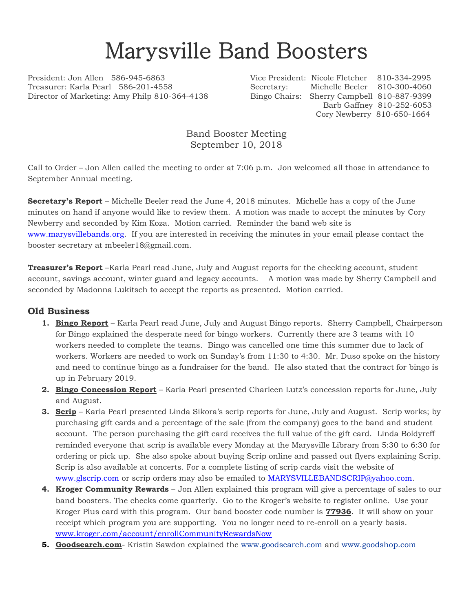## Marysville Band Boosters

President: Jon Allen 586-945-6863 Vice President: Nicole Fletcher 810-334-2995 Treasurer: Karla Pearl 586-201-4558 Secretary: Michelle Beeler 810-300-4060 Director of Marketing: Amy Philp 810-364-4138 Bingo Chairs: Sherry Campbell 810-887-9399

 Barb Gaffney 810-252-6053 Cory Newberry 810-650-1664

Band Booster Meeting September 10, 2018

Call to Order – Jon Allen called the meeting to order at 7:06 p.m. Jon welcomed all those in attendance to September Annual meeting.

**Secretary's Report** – Michelle Beeler read the June 4, 2018 minutes. Michelle has a copy of the June minutes on hand if anyone would like to review them. A motion was made to accept the minutes by Cory Newberry and seconded by Kim Koza. Motion carried. Reminder the band web site is [www.marysvillebands.org.](http://www.marysvillebands.org/) If you are interested in receiving the minutes in your email please contact the booster secretary at mbeeler18@gmail.com.

**Treasurer's Report** –Karla Pearl read June, July and August reports for the checking account, student account, savings account, winter guard and legacy accounts. A motion was made by Sherry Campbell and seconded by Madonna Lukitsch to accept the reports as presented. Motion carried.

## **Old Business**

- **1. Bingo Report** Karla Pearl read June, July and August Bingo reports. Sherry Campbell, Chairperson for Bingo explained the desperate need for bingo workers. Currently there are 3 teams with 10 workers needed to complete the teams. Bingo was cancelled one time this summer due to lack of workers. Workers are needed to work on Sunday's from 11:30 to 4:30. Mr. Duso spoke on the history and need to continue bingo as a fundraiser for the band. He also stated that the contract for bingo is up in February 2019.
- **2. Bingo Concession Report** Karla Pearl presented Charleen Lutz's concession reports for June, July and August.
- **3. Scrip** Karla Pearl presented Linda Sikora's scrip reports for June, July and August. Scrip works; by purchasing gift cards and a percentage of the sale (from the company) goes to the band and student account. The person purchasing the gift card receives the full value of the gift card. Linda Boldyreff reminded everyone that scrip is available every Monday at the Marysville Library from 5:30 to 6:30 for ordering or pick up. She also spoke about buying Scrip online and passed out flyers explaining Scrip. Scrip is also available at concerts. For a complete listing of scrip cards visit the website of [www.glscrip.com](http://www.glscrip.com/) or scrip orders may also be emailed to [MARYSVILLEBANDSCRIP@yahoo.com.](mailto:MARYSVILLEBANDSCRIP@yahoo.com)
- **4. Kroger Community Rewards** Jon Allen explained this program will give a percentage of sales to our band boosters. The checks come quarterly. Go to the Kroger's website to register online. Use your Kroger Plus card with this program. Our band booster code number is **77936**. It will show on your receipt which program you are supporting. You no longer need to re-enroll on a yearly basis. [www.kroger.com/account/enrollCommunityRewardsNow](http://www.kroger.com/account/enrollCommunityRewardsNow)
- **5. Goodsearch.com** Kristin Sawdon explained the [www.goodsearch.com](http://www.goodsearch.com/) and [www.goodshop.com](http://www.goodshop.com/)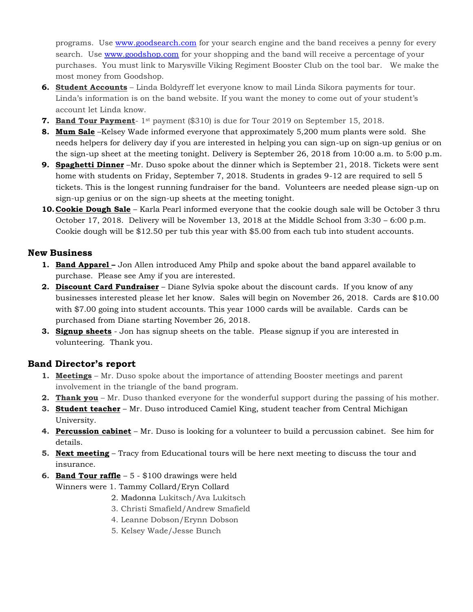programs. Use [www.goodsearch.com](http://www.goodsearch.com/) for your search engine and the band receives a penny for every search. Use [www.goodshop.com](http://www.goodshop.com/) for your shopping and the band will receive a percentage of your purchases. You must link to Marysville Viking Regiment Booster Club on the tool bar. We make the most money from Goodshop.

- **6. Student Accounts** Linda Boldyreff let everyone know to mail Linda Sikora payments for tour. Linda's information is on the band website. If you want the money to come out of your student's account let Linda know.
- **7. Band Tour Payment** 1<sup>st</sup> payment (\$310) is due for Tour 2019 on September 15, 2018.
- **8. Mum Sale** –Kelsey Wade informed everyone that approximately 5,200 mum plants were sold. She needs helpers for delivery day if you are interested in helping you can sign-up on sign-up genius or on the sign-up sheet at the meeting tonight. Delivery is September 26, 2018 from 10:00 a.m. to 5:00 p.m.
- **9. Spaghetti Dinner** –Mr. Duso spoke about the dinner which is September 21, 2018. Tickets were sent home with students on Friday, September 7, 2018. Students in grades 9-12 are required to sell 5 tickets. This is the longest running fundraiser for the band. Volunteers are needed please sign-up on sign-up genius or on the sign-up sheets at the meeting tonight.
- **10.Cookie Dough Sale** Karla Pearl informed everyone that the cookie dough sale will be October 3 thru October 17, 2018. Delivery will be November 13, 2018 at the Middle School from 3:30 – 6:00 p.m. Cookie dough will be \$12.50 per tub this year with \$5.00 from each tub into student accounts.

## **New Business**

- **1. Band Apparel –** Jon Allen introduced Amy Philp and spoke about the band apparel available to purchase. Please see Amy if you are interested.
- **2. Discount Card Fundraiser** Diane Sylvia spoke about the discount cards. If you know of any businesses interested please let her know. Sales will begin on November 26, 2018. Cards are \$10.00 with \$7.00 going into student accounts. This year 1000 cards will be available. Cards can be purchased from Diane starting November 26, 2018.
- **3. Signup sheets** Jon has signup sheets on the table. Please signup if you are interested in volunteering. Thank you.

## **Band Director's report**

- **1. Meetings** Mr. Duso spoke about the importance of attending Booster meetings and parent involvement in the triangle of the band program.
- **2. Thank you** Mr. Duso thanked everyone for the wonderful support during the passing of his mother.
- **3. Student teacher** Mr. Duso introduced Camiel King, student teacher from Central Michigan University.
- **4. Percussion cabinet** Mr. Duso is looking for a volunteer to build a percussion cabinet. See him for details.
- **5. Next meeting** Tracy from Educational tours will be here next meeting to discuss the tour and insurance.
- **6. Band Tour raffle** 5 \$100 drawings were held

Winners were 1. Tammy Collard/Eryn Collard

- 2. Madonna Lukitsch/Ava Lukitsch
- 3. Christi Smafield/Andrew Smafield
- 4. Leanne Dobson/Erynn Dobson
- 5. Kelsey Wade/Jesse Bunch